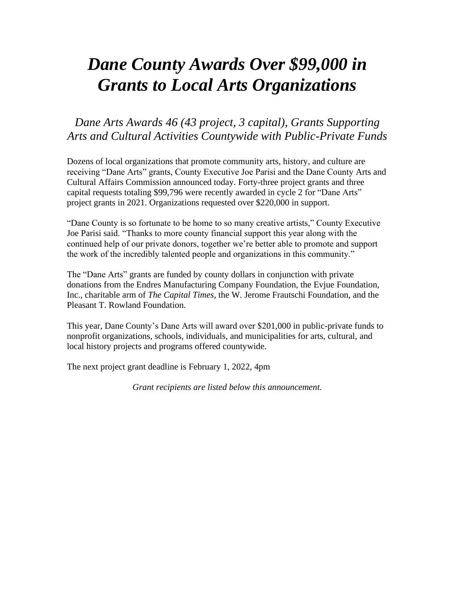# *Dane County Awards Over \$99,000 in Grants to Local Arts Organizations*

## *Dane Arts Awards 46 (43 project, 3 capital), Grants Supporting Arts and Cultural Activities Countywide with Public-Private Funds*

Dozens of local organizations that promote community arts, history, and culture are receiving "Dane Arts" grants, County Executive Joe Parisi and the Dane County Arts and Cultural Affairs Commission announced today. Forty-three project grants and three capital requests totaling \$99,796 were recently awarded in cycle 2 for "Dane Arts" project grants in 2021. Organizations requested over \$220,000 in support.

"Dane County is so fortunate to be home to so many creative artists," County Executive Joe Parisi said. "Thanks to more county financial support this year along with the continued help of our private donors, together we're better able to promote and support the work of the incredibly talented people and organizations in this community."

The "Dane Arts" grants are funded by county dollars in conjunction with private donations from the Endres Manufacturing Company Foundation, the Evjue Foundation, Inc., charitable arm of *The Capital Times*, the W. Jerome Frautschi Foundation, and the Pleasant T. Rowland Foundation.

This year, Dane County's Dane Arts will award over \$201,000 in public-private funds to nonprofit organizations, schools, individuals, and municipalities for arts, cultural, and local history projects and programs offered countywide.

The next project grant deadline is February 1, 2022, 4pm

*Grant recipients are listed below this announcement.*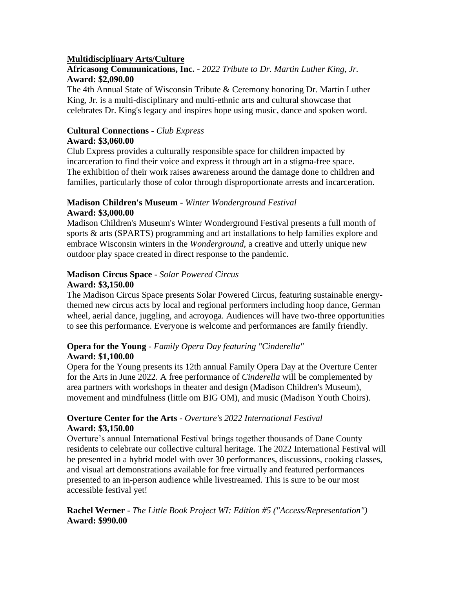## **Multidisciplinary Arts/Culture**

**Africasong Communications, Inc.** - *2022 Tribute to Dr. Martin Luther King, Jr.* **Award: \$2,090.00**

The 4th Annual State of Wisconsin Tribute & Ceremony honoring Dr. Martin Luther King, Jr. is a multi-disciplinary and multi-ethnic arts and cultural showcase that celebrates Dr. King's legacy and inspires hope using music, dance and spoken word.

#### **Cultural Connections -** *Club Express* **Award: \$3,060.00**

Club Express provides a culturally responsible space for children impacted by incarceration to find their voice and express it through art in a stigma-free space. The exhibition of their work raises awareness around the damage done to children and families, particularly those of color through disproportionate arrests and incarceration.

#### **Madison Children's Museum** - *Winter Wonderground Festival* **Award: \$3,000.00**

Madison Children's Museum's Winter Wonderground Festival presents a full month of sports & arts (SPARTS) programming and art installations to help families explore and embrace Wisconsin winters in the *Wonderground*, a creative and utterly unique new outdoor play space created in direct response to the pandemic.

#### **Madison Circus Space** - *Solar Powered Circus* **Award: \$3,150.00**

The Madison Circus Space presents Solar Powered Circus, featuring sustainable energythemed new circus acts by local and regional performers including hoop dance, German wheel, aerial dance, juggling, and acroyoga. Audiences will have two-three opportunities to see this performance. Everyone is welcome and performances are family friendly.

## **Opera for the Young** - *Family Opera Day featuring "Cinderella"* **Award: \$1,100.00**

Opera for the Young presents its 12th annual Family Opera Day at the Overture Center for the Arts in June 2022. A free performance of *Cinderella* will be complemented by area partners with workshops in theater and design (Madison Children's Museum), movement and mindfulness (little om BIG OM), and music (Madison Youth Choirs).

## **Overture Center for the Arts** - *Overture's 2022 International Festival* **Award: \$3,150.00**

Overture's annual International Festival brings together thousands of Dane County residents to celebrate our collective cultural heritage. The 2022 International Festival will be presented in a hybrid model with over 30 performances, discussions, cooking classes, and visual art demonstrations available for free virtually and featured performances presented to an in-person audience while livestreamed. This is sure to be our most accessible festival yet!

**Rachel Werner** - *The Little Book Project WI: Edition #5 ("Access/Representation")* **Award: \$990.00**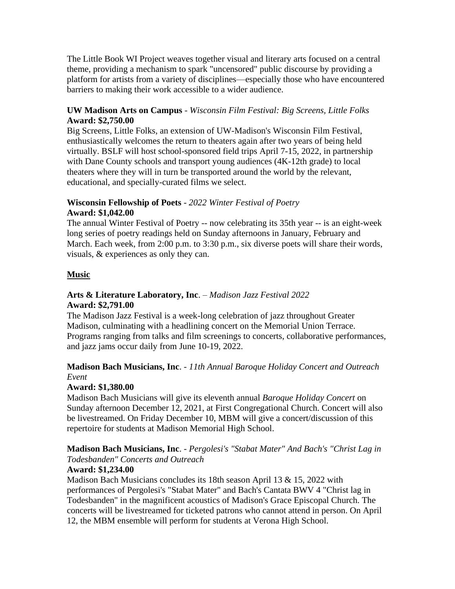The Little Book WI Project weaves together visual and literary arts focused on a central theme, providing a mechanism to spark "uncensored" public discourse by providing a platform for artists from a variety of disciplines—especially those who have encountered barriers to making their work accessible to a wider audience.

## **UW Madison Arts on Campus** - *Wisconsin Film Festival: Big Screens, Little Folks* **Award: \$2,750.00**

Big Screens, Little Folks, an extension of UW-Madison's Wisconsin Film Festival, enthusiastically welcomes the return to theaters again after two years of being held virtually. BSLF will host school-sponsored field trips April 7-15, 2022, in partnership with Dane County schools and transport young audiences (4K-12th grade) to local theaters where they will in turn be transported around the world by the relevant, educational, and specially-curated films we select.

#### **Wisconsin Fellowship of Poets** - *2022 Winter Festival of Poetry* **Award: \$1,042.00**

The annual Winter Festival of Poetry -- now celebrating its 35th year -- is an eight-week long series of poetry readings held on Sunday afternoons in January, February and March. Each week, from 2:00 p.m. to 3:30 p.m., six diverse poets will share their words, visuals, & experiences as only they can.

## **Music**

## **Arts & Literature Laboratory, Inc**. – *Madison Jazz Festival 2022* **Award: \$2,791.00**

The Madison Jazz Festival is a week-long celebration of jazz throughout Greater Madison, culminating with a headlining concert on the Memorial Union Terrace. Programs ranging from talks and film screenings to concerts, collaborative performances, and jazz jams occur daily from June 10-19, 2022.

## **Madison Bach Musicians, Inc**. - *11th Annual Baroque Holiday Concert and Outreach Event*

## **Award: \$1,380.00**

Madison Bach Musicians will give its eleventh annual *Baroque Holiday Concert* on Sunday afternoon December 12, 2021, at First Congregational Church. Concert will also be livestreamed. On Friday December 10, MBM will give a concert/discussion of this repertoire for students at Madison Memorial High School.

## **Madison Bach Musicians, Inc**. - *Pergolesi's "Stabat Mater" And Bach's "Christ Lag in Todesbanden" Concerts and Outreach*

## **Award: \$1,234.00**

Madison Bach Musicians concludes its 18th season April 13 & 15, 2022 with performances of Pergolesi's "Stabat Mater" and Bach's Cantata BWV 4 "Christ lag in Todesbanden" in the magnificent acoustics of Madison's Grace Episcopal Church. The concerts will be livestreamed for ticketed patrons who cannot attend in person. On April 12, the MBM ensemble will perform for students at Verona High School.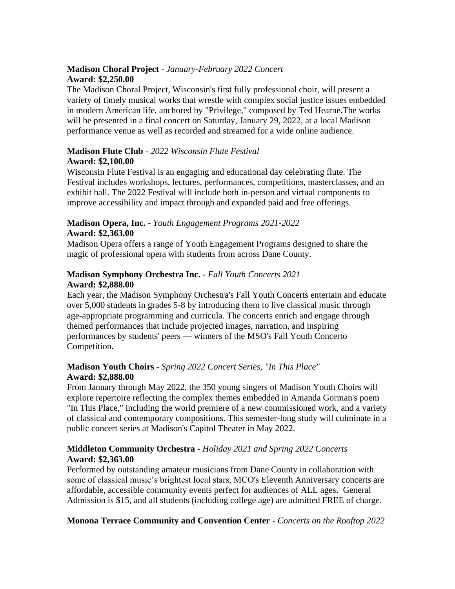## **Madison Choral Project** - *January-February 2022 Concert* **Award: \$2,250.00**

The Madison Choral Project, Wisconsin's first fully professional choir, will present a variety of timely musical works that wrestle with complex social justice issues embedded in modern American life, anchored by "Privilege," composed by Ted Hearne.The works will be presented in a final concert on Saturday, January 29, 2022, at a local Madison performance venue as well as recorded and streamed for a wide online audience.

## **Madison Flute Club** - *2022 Wisconsin Flute Festival* **Award: \$2,100.00**

Wisconsin Flute Festival is an engaging and educational day celebrating flute. The Festival includes workshops, lectures, performances, competitions, masterclasses, and an exhibit hall. The 2022 Festival will include both in-person and virtual components to improve accessibility and impact through and expanded paid and free offerings.

## **Madison Opera, Inc.** - *Youth Engagement Programs 2021-2022* **Award: \$2,363.00**

Madison Opera offers a range of Youth Engagement Programs designed to share the magic of professional opera with students from across Dane County.

## **Madison Symphony Orchestra Inc.** - *Fall Youth Concerts 2021* **Award: \$2,888.00**

Each year, the Madison Symphony Orchestra's Fall Youth Concerts entertain and educate over 5,000 students in grades 5-8 by introducing them to live classical music through age-appropriate programming and curricula. The concerts enrich and engage through themed performances that include projected images, narration, and inspiring performances by students' peers — winners of the MSO's Fall Youth Concerto Competition.

## **Madison Youth Choirs** - *Spring 2022 Concert Series, "In This Place"* **Award: \$2,888.00**

From January through May 2022, the 350 young singers of Madison Youth Choirs will explore repertoire reflecting the complex themes embedded in Amanda Gorman's poem "In This Place," including the world premiere of a new commissioned work, and a variety of classical and contemporary compositions. This semester-long study will culminate in a public concert series at Madison's Capitol Theater in May 2022.

## **Middleton Community Orchestra** - *Holiday 2021 and Spring 2022 Concerts* **Award: \$2,363.00**

Performed by outstanding amateur musicians from Dane County in collaboration with some of classical music's brightest local stars, MCO's Eleventh Anniversary concerts are affordable, accessible community events perfect for audiences of ALL ages. General Admission is \$15, and all students (including college age) are admitted FREE of charge.

## **Monona Terrace Community and Convention Center** - *Concerts on the Rooftop 2022*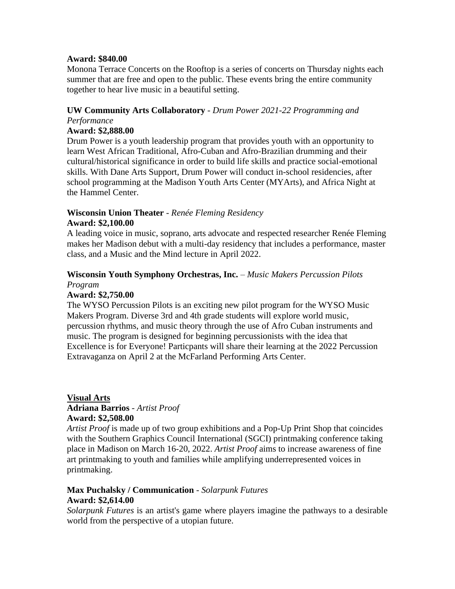#### **Award: \$840.00**

Monona Terrace Concerts on the Rooftop is a series of concerts on Thursday nights each summer that are free and open to the public. These events bring the entire community together to hear live music in a beautiful setting.

## **UW Community Arts Collaboratory** - *Drum Power 2021-22 Programming and Performance*

#### **Award: \$2,888.00**

Drum Power is a youth leadership program that provides youth with an opportunity to learn West African Traditional, Afro-Cuban and Afro-Brazilian drumming and their cultural/historical significance in order to build life skills and practice social-emotional skills. With Dane Arts Support, Drum Power will conduct in-school residencies, after school programming at the Madison Youth Arts Center (MYArts), and Africa Night at the Hammel Center.

#### **Wisconsin Union Theater** - *Renée Fleming Residency* **Award: \$2,100.00**

A leading voice in music, soprano, arts advocate and respected researcher Renée Fleming makes her Madison debut with a multi-day residency that includes a performance, master class, and a Music and the Mind lecture in April 2022.

## **Wisconsin Youth Symphony Orchestras, Inc.** – *Music Makers Percussion Pilots*

*Program*

## **Award: \$2,750.00**

The WYSO Percussion Pilots is an exciting new pilot program for the WYSO Music Makers Program. Diverse 3rd and 4th grade students will explore world music, percussion rhythms, and music theory through the use of Afro Cuban instruments and music. The program is designed for beginning percussionists with the idea that Excellence is for Everyone! Particpants will share their learning at the 2022 Percussion Extravaganza on April 2 at the McFarland Performing Arts Center.

#### **Visual Arts Adriana Barrios** - *Artist Proof* **Award: \$2,508.00**

*Artist Proof* is made up of two group exhibitions and a Pop-Up Print Shop that coincides with the Southern Graphics Council International (SGCI) printmaking conference taking place in Madison on March 16-20, 2022. *Artist Proof* aims to increase awareness of fine art printmaking to youth and families while amplifying underrepresented voices in printmaking.

## **Max Puchalsky / Communication** - *Solarpunk Futures* **Award: \$2,614.00**

*Solarpunk Futures* is an artist's game where players imagine the pathways to a desirable world from the perspective of a utopian future.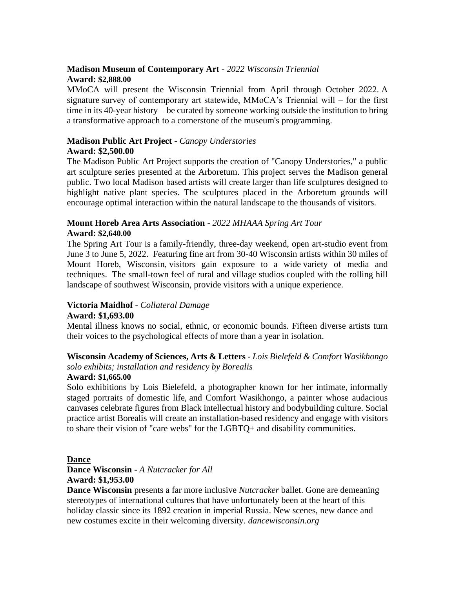## **Madison Museum of Contemporary Art** - *2022 Wisconsin Triennial* **Award: \$2,888.00**

MMoCA will present the Wisconsin Triennial from April through October 2022. A signature survey of contemporary art statewide, MMoCA's Triennial will – for the first time in its 40-year history – be curated by someone working outside the institution to bring a transformative approach to a cornerstone of the museum's programming.

## **Madison Public Art Project** - *Canopy Understories* **Award: \$2,500.00**

The Madison Public Art Project supports the creation of "Canopy Understories," a public art sculpture series presented at the Arboretum. This project serves the Madison general public. Two local Madison based artists will create larger than life sculptures designed to highlight native plant species. The sculptures placed in the Arboretum grounds will encourage optimal interaction within the natural landscape to the thousands of visitors.

## **Mount Horeb Area Arts Association** - *2022 MHAAA Spring Art Tour* **Award: \$2,640.00**

The Spring Art Tour is a family-friendly, three-day weekend, open art-studio event from June 3 to June 5, 2022. Featuring fine art from 30-40 Wisconsin artists within 30 miles of Mount Horeb, Wisconsin, visitors gain exposure to a wide variety of media and techniques. The small-town feel of rural and village studios coupled with the rolling hill landscape of southwest Wisconsin, provide visitors with a unique experience.

#### **Victoria Maidhof** - *Collateral Damage* **Award: \$1,693.00**

Mental illness knows no social, ethnic, or economic bounds. Fifteen diverse artists turn their voices to the psychological effects of more than a year in isolation.

#### **Wisconsin Academy of Sciences, Arts & Letters** - *Lois Bielefeld & Comfort Wasikhongo solo exhibits; installation and residency by Borealis*

## **Award: \$1,665.00**

Solo exhibitions by Lois Bielefeld, a photographer known for her intimate, informally staged portraits of domestic life, and Comfort Wasikhongo, a painter whose audacious canvases celebrate figures from Black intellectual history and bodybuilding culture. Social practice artist Borealis will create an installation-based residency and engage with visitors to share their vision of "care webs" for the LGBTQ+ and disability communities.

#### **Dance**

## **Dance Wisconsin** - *A Nutcracker for All* **Award: \$1,953.00**

**Dance Wisconsin** presents a far more inclusive *Nutcracker* ballet. Gone are demeaning stereotypes of international cultures that have unfortunately been at the heart of this holiday classic since its 1892 creation in imperial Russia. New scenes, new dance and new costumes excite in their welcoming diversity. *dancewisconsin.org*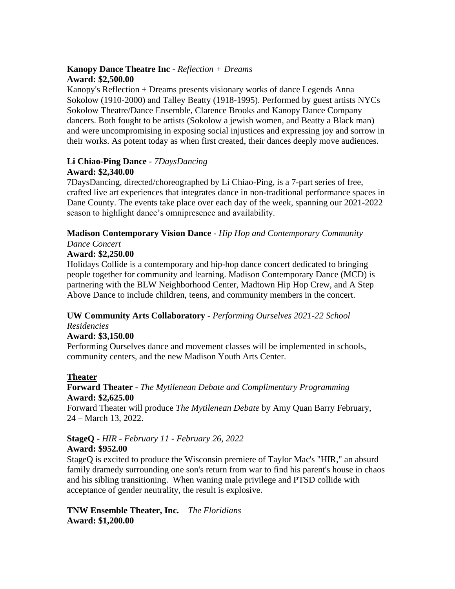## **Kanopy Dance Theatre Inc** - *Reflection + Dreams* **Award: \$2,500.00**

Kanopy's Reflection + Dreams presents visionary works of dance Legends Anna Sokolow (1910-2000) and Talley Beatty (1918-1995). Performed by guest artists NYCs Sokolow Theatre/Dance Ensemble, Clarence Brooks and Kanopy Dance Company dancers. Both fought to be artists (Sokolow a jewish women, and Beatty a Black man) and were uncompromising in exposing social injustices and expressing joy and sorrow in their works. As potent today as when first created, their dances deeply move audiences.

#### **Li Chiao-Ping Dance** - *7DaysDancing* **Award: \$2,340.00**

7DaysDancing, directed/choreographed by Li Chiao-Ping, is a 7-part series of free, crafted live art experiences that integrates dance in non-traditional performance spaces in Dane County. The events take place over each day of the week, spanning our 2021-2022 season to highlight dance's omnipresence and availability.

#### **Madison Contemporary Vision Dance** - *Hip Hop and Contemporary Community Dance Concert*

## **Award: \$2,250.00**

Holidays Collide is a contemporary and hip-hop dance concert dedicated to bringing people together for community and learning. Madison Contemporary Dance (MCD) is partnering with the BLW Neighborhood Center, Madtown Hip Hop Crew, and A Step Above Dance to include children, teens, and community members in the concert.

## **UW Community Arts Collaboratory** - *Performing Ourselves 2021-22 School*

*Residencies*

## **Award: \$3,150.00**

Performing Ourselves dance and movement classes will be implemented in schools, community centers, and the new Madison Youth Arts Center.

## **Theater**

## **Forward Theater -** *The Mytilenean Debate and Complimentary Programming* **Award: \$2,625.00**

Forward Theater will produce *The Mytilenean Debate* by Amy Quan Barry February, 24 – March 13, 2022.

## **StageQ -** *HIR - February 11 - February 26, 2022*

## **Award: \$952.00**

StageQ is excited to produce the Wisconsin premiere of Taylor Mac's "HIR," an absurd family dramedy surrounding one son's return from war to find his parent's house in chaos and his sibling transitioning. When waning male privilege and PTSD collide with acceptance of gender neutrality, the result is explosive.

**TNW Ensemble Theater, Inc.** *– The Floridians* **Award: \$1,200.00**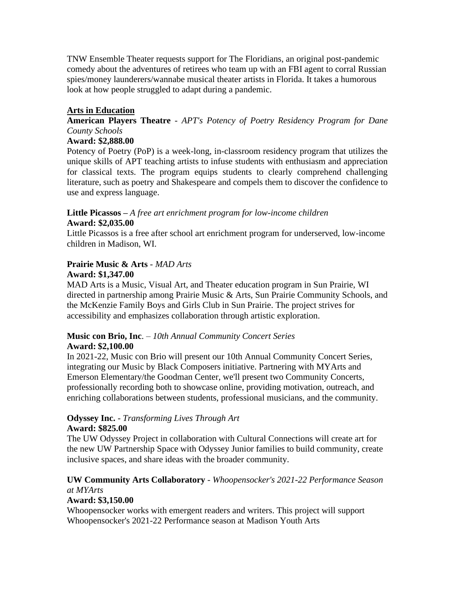TNW Ensemble Theater requests support for The Floridians, an original post-pandemic comedy about the adventures of retirees who team up with an FBI agent to corral Russian spies/money launderers/wannabe musical theater artists in Florida. It takes a humorous look at how people struggled to adapt during a pandemic.

## **Arts in Education**

## **American Players Theatre** - *APT's Potency of Poetry Residency Program for Dane County Schools*

#### **Award: \$2,888.00**

Potency of Poetry (PoP) is a week-long, in-classroom residency program that utilizes the unique skills of APT teaching artists to infuse students with enthusiasm and appreciation for classical texts. The program equips students to clearly comprehend challenging literature, such as poetry and Shakespeare and compels them to discover the confidence to use and express language.

#### **Little Picassos –** *A free art enrichment program for low-income children* **Award: \$2,035.00**

Little Picassos is a free after school art enrichment program for underserved, low-income children in Madison, WI.

#### **Prairie Music & Arts** - *MAD Arts* **Award: \$1,347.00**

MAD Arts is a Music, Visual Art, and Theater education program in Sun Prairie, WI directed in partnership among Prairie Music & Arts, Sun Prairie Community Schools, and the McKenzie Family Boys and Girls Club in Sun Prairie. The project strives for accessibility and emphasizes collaboration through artistic exploration.

## **Music con Brio, Inc**. – *10th Annual Community Concert Series* **Award: \$2,100.00**

In 2021-22, Music con Brio will present our 10th Annual Community Concert Series, integrating our Music by Black Composers initiative. Partnering with MYArts and Emerson Elementary/the Goodman Center, we'll present two Community Concerts, professionally recording both to showcase online, providing motivation, outreach, and enriching collaborations between students, professional musicians, and the community.

#### **Odyssey Inc.** - *Transforming Lives Through Art* **Award: \$825.00**

The UW Odyssey Project in collaboration with Cultural Connections will create art for the new UW Partnership Space with Odyssey Junior families to build community, create inclusive spaces, and share ideas with the broader community.

## **UW Community Arts Collaboratory** - *Whoopensocker's 2021-22 Performance Season at MYArts*

## **Award: \$3,150.00**

Whoopensocker works with emergent readers and writers. This project will support Whoopensocker's 2021-22 Performance season at Madison Youth Arts